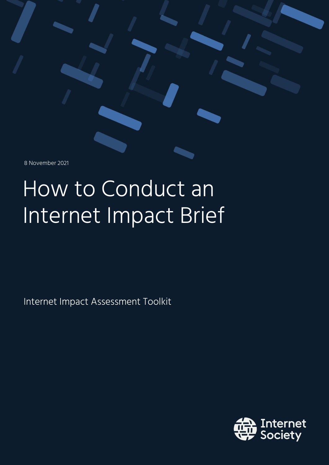8 November 2021

# How to Conduct an Internet Impact Brief

Internet Impact Assessment Toolkit

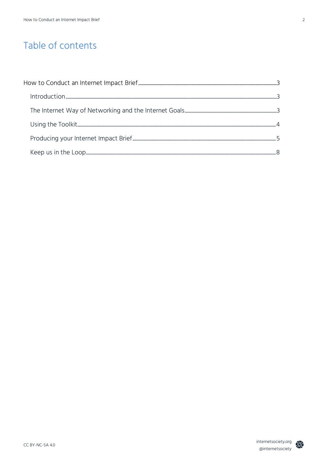# Table of contents

| $\ nt{\hbox{root}}(out{\hbox{root}})_{\hbox{dots},\hbox{dots},\hbox{dots},\hbox{dots},\hbox{dots},\hbox{dots},\hbox{dots},\hbox{dots},\hbox{dots},\hbox{dots},\hbox{dots},\hbox{dots},\hbox{dots},\hbox{dots},\hbox{dots},\hbox{dots},\hbox{dots},\hbox{dots},\hbox{dots},\hbox{dots},\hbox{dots},\hbox{dots},\hbox{dots},\hbox{dots},\hbox{dots},\hbox{dots},\hbox{dots},\hbox{dots},\hbox{dots},\hbox{dots},\hbox{dots},\hbox{dots},\hbox{dots},\hbox$ |  |
|----------------------------------------------------------------------------------------------------------------------------------------------------------------------------------------------------------------------------------------------------------------------------------------------------------------------------------------------------------------------------------------------------------------------------------------------------------|--|
|                                                                                                                                                                                                                                                                                                                                                                                                                                                          |  |
|                                                                                                                                                                                                                                                                                                                                                                                                                                                          |  |
|                                                                                                                                                                                                                                                                                                                                                                                                                                                          |  |
|                                                                                                                                                                                                                                                                                                                                                                                                                                                          |  |

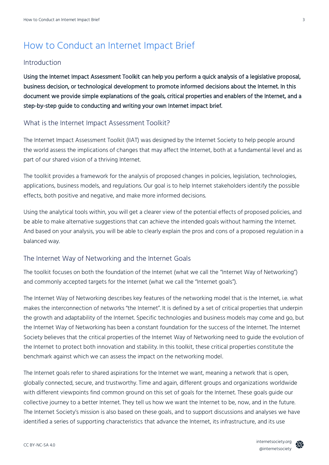# How to Conduct an Internet Impact Brief

#### Introduction

Using the Internet Impact Assessment Toolkit can help you perform a quick analysis of a legislative proposal, business decision, or technological development to promote informed decisions about the Internet. In this document we provide simple explanations of the goals, critical properties and enablers of the Internet, and a step-by-step guide to conducting and writing your own Internet impact brief.

#### What is the Internet Impact Assessment Toolkit?

The Internet Impact Assessment Toolkit (IIAT) was designed by the Internet Society to help people around the world assess the implications of changes that may affect the Internet, both at a fundamental level and as part of our shared vision of a thriving Internet.

The toolkit provides a framework for the analysis of proposed changes in policies, legislation, technologies, applications, business models, and regulations. Our goal is to help Internet stakeholders identify the possible effects, both positive and negative, and make more informed decisions.

Using the analytical tools within, you will get a clearer view of the potential effects of proposed policies, and be able to make alternative suggestions that can achieve the intended goals without harming the Internet. And based on your analysis, you will be able to clearly explain the pros and cons of a proposed regulation in a balanced way.

#### The Internet Way of Networking and the Internet Goals

The toolkit focuses on both the foundation of the Internet (what we call the "Internet Way of Networking") and commonly accepted targets for the Internet (what we call the "Internet goals").

The Internet Way of Networking describes key features of the networking model that is the Internet, i.e. what makes the interconnection of networks "the Internet". It is defined by a set of critical properties that underpin the growth and adaptability of the Internet. Specific technologies and business models may come and go, but the Internet Way of Networking has been a constant foundation for the success of the Internet. The Internet Society believes that the critical properties of the Internet Way of Networking need to guide the evolution of the Internet to protect both innovation and stability. In this toolkit, these critical properties constitute the benchmark against which we can assess the impact on the networking model.

The Internet goals refer to shared aspirations for the Internet we want, meaning a network that is open, globally connected, secure, and trustworthy. Time and again, different groups and organizations worldwide with different viewpoints find common ground on this set of goals for the Internet. These goals guide our collective journey to a better Internet. They tell us how we want the Internet to be, now, and in the future. The Internet Society's mission is also based on these goals, and to support discussions and analyses we have identified a series of supporting characteristics that advance the Internet, its infrastructure, and its use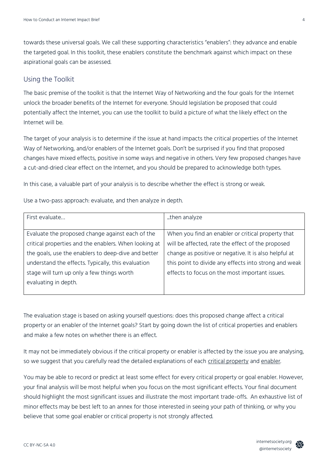towards these universal goals. We call these supporting characteristics "enablers": they advance and enable the targeted goal. In this toolkit, these enablers constitute the benchmark against which impact on these aspirational goals can be assessed.

## Using the Toolkit

The basic premise of the toolkit is that the Internet Way of Networking and the four goals for the Internet unlock the broader benefits of the Internet for everyone. Should legislation be proposed that could potentially affect the Internet, you can use the toolkit to build a picture of what the likely effect on the Internet will be.

The target of your analysis is to determine if the issue at hand impacts the critical properties of the Internet Way of Networking, and/or enablers of the Internet goals. Don't be surprised if you find that proposed changes have mixed effects, positive in some ways and negative in others. Very few proposed changes have a cut-and-dried clear effect on the Internet, and you should be prepared to acknowledge both types.

In this case, a valuable part of your analysis is to describe whether the effect is strong or weak.

Use a two-pass approach: evaluate, and then analyze in depth.

| First evaluate                                        | then analyze                                          |  |
|-------------------------------------------------------|-------------------------------------------------------|--|
|                                                       |                                                       |  |
| Evaluate the proposed change against each of the      | When you find an enabler or critical property that    |  |
| critical properties and the enablers. When looking at | will be affected, rate the effect of the proposed     |  |
| the goals, use the enablers to deep-dive and better   | change as positive or negative. It is also helpful at |  |
| understand the effects. Typically, this evaluation    | this point to divide any effects into strong and weak |  |
| stage will turn up only a few things worth            | effects to focus on the most important issues.        |  |
| evaluating in depth.                                  |                                                       |  |
|                                                       |                                                       |  |

The evaluation stage is based on asking yourself questions: does this proposed change affect a critical property or an enabler of the Internet goals? Start by going down the list of critical properties and enablers and make a few notes on whether there is an effect.

It may not be immediately obvious if the critical property or enabler is affected by the issue you are analysing, so we suggest that you carefully read the detailed explanations of each [critical property](https://www.internetsociety.org/resources/doc/2020/internet-impact-assessment-toolkit/critical-properties-of-the-internet/) and [enabler.](https://www.internetsociety.org/resources/doc/2021/enablers-of-open-globally-connected-secure-trustworthy-internet/)

You may be able to record or predict at least some effect for every critical property or goal enabler. However, your final analysis will be most helpful when you focus on the most significant effects. Your final document should highlight the most significant issues and illustrate the most important trade-offs. An exhaustive list of minor effects may be best left to an annex for those interested in seeing your path of thinking, or why you believe that some goal enabler or critical property is not strongly affected.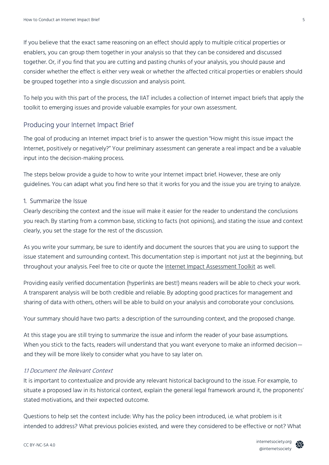If you believe that the exact same reasoning on an effect should apply to multiple critical properties or enablers, you can group them together in your analysis so that they can be considered and discussed together. Or, if you find that you are cutting and pasting chunks of your analysis, you should pause and consider whether the effect is either very weak or whether the affected critical properties or enablers should be grouped together into a single discussion and analysis point.

To help you with this part of the process, the IIAT includes a collection of Internet impact briefs that apply the toolkit to emerging issues and provide valuable examples for your own assessment.

### Producing your Internet Impact Brief

The goal of producing an Internet impact brief is to answer the question "How might this issue impact the Internet, positively or negatively?" Your preliminary assessment can generate a real impact and be a valuable input into the decision-making process.

The steps below provide a guide to how to write your Internet impact brief. However, these are only guidelines. You can adapt what you find here so that it works for you and the issue you are trying to analyze.

#### 1. Summarize the Issue

Clearly describing the context and the issue will make it easier for the reader to understand the conclusions you reach. By starting from a common base, sticking to facts (not opinions), and stating the issue and context clearly, you set the stage for the rest of the discussion.

As you write your summary, be sure to identify and document the sources that you are using to support the issue statement and surrounding context. This documentation step is important not just at the beginning, but throughout your analysis. Feel free to cite or quote the [Internet Impact Assessment Toolkit](https://www.internetsociety.org/issues/internet-way-of-networking/internet-impact-assessment-toolkit/) as well.

Providing easily verified documentation (hyperlinks are best!) means readers will be able to check your work. A transparent analysis will be both credible and reliable. By adopting good practices for management and sharing of data with others, others will be able to build on your analysis and corroborate your conclusions.

Your summary should have two parts: a description of the surrounding context, and the proposed change.

At this stage you are still trying to summarize the issue and inform the reader of your base assumptions. When you stick to the facts, readers will understand that you want everyone to make an informed decision and they will be more likely to consider what you have to say later on.

#### 1.1 Document the Relevant Context

It is important to contextualize and provide any relevant historical background to the issue. For example, to situate a proposed law in its historical context, explain the general legal framework around it, the proponents' stated motivations, and their expected outcome.

Questions to help set the context include: Why has the policy been introduced, i.e. what problem is it intended to address? What previous policies existed, and were they considered to be effective or not? What

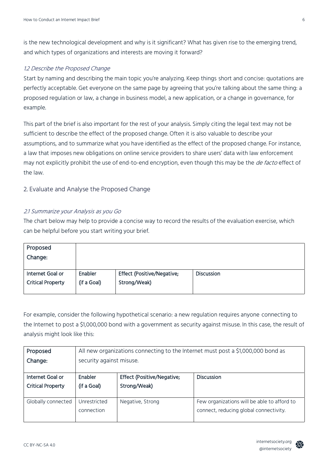is the new technological development and why is it significant? What has given rise to the emerging trend, and which types of organizations and interests are moving it forward?

#### 1.2 Describe the Proposed Change

Start by naming and describing the main topic you're analyzing. Keep things short and concise: quotations are perfectly acceptable. Get everyone on the same page by agreeing that you're talking about the same thing: a proposed regulation or law, a change in business model, a new application, or a change in governance, for example.

This part of the brief is also important for the rest of your analysis. Simply citing the legal text may not be sufficient to describe the effect of the proposed change. Often it is also valuable to describe your assumptions, and to summarize what you have identified as the effect of the proposed change. For instance, a law that imposes new obligations on online service providers to share users' data with law enforcement may not explicitly prohibit the use of end-to-end encryption, even though this may be the *de facto* effect of the law.

#### 2. Evaluate and Analyse the Proposed Change

#### 2.1 Summarize your Analysis as you Go

The chart below may help to provide a concise way to record the results of the evaluation exercise, which can be helpful before you start writing your brief.

| Proposed<br>Change:      |             |                            |                   |
|--------------------------|-------------|----------------------------|-------------------|
| Internet Goal or         | Enabler     | Effect (Positive/Negative; | <b>Discussion</b> |
| <b>Critical Property</b> | (if a Goal) | Strong/Weak)               |                   |

For example, consider the following hypothetical scenario: a new regulation requires anyone connecting to the Internet to post a \$1,000,000 bond with a government as security against misuse. In this case, the result of analysis might look like this:

| Proposed                 | All new organizations connecting to the Internet must post a \$1,000,000 bond as |                            |                                             |  |  |
|--------------------------|----------------------------------------------------------------------------------|----------------------------|---------------------------------------------|--|--|
| Change:                  | security against misuse.                                                         |                            |                                             |  |  |
| Internet Goal or         | Enabler                                                                          |                            | <b>Discussion</b>                           |  |  |
|                          |                                                                                  | Effect (Positive/Negative; |                                             |  |  |
| <b>Critical Property</b> | (if a Goal)                                                                      | Strong/Weak)               |                                             |  |  |
|                          |                                                                                  |                            |                                             |  |  |
| Globally connected       | Unrestricted                                                                     | Negative, Strong           | Few organizations will be able to afford to |  |  |
|                          | connection                                                                       |                            | connect, reducing global connectivity.      |  |  |
|                          |                                                                                  |                            |                                             |  |  |

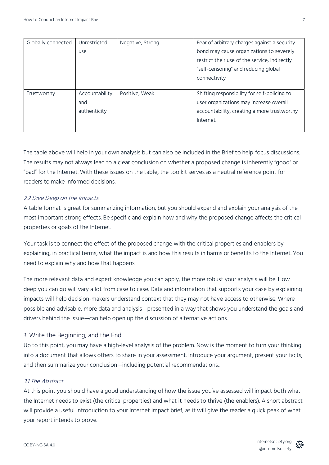| Globally connected | Unrestricted   | Negative, Strong | Fear of arbitrary charges against a security  |
|--------------------|----------------|------------------|-----------------------------------------------|
|                    | use            |                  | bond may cause organizations to severely      |
|                    |                |                  | restrict their use of the service, indirectly |
|                    |                |                  | "self-censoring" and reducing global          |
|                    |                |                  | connectivity                                  |
|                    |                |                  |                                               |
| Trustworthy        | Accountability | Positive, Weak   | Shifting responsibility for self-policing to  |
|                    | and            |                  | user organizations may increase overall       |
|                    | authenticity   |                  | accountability, creating a more trustworthy   |
|                    |                |                  | Internet.                                     |
|                    |                |                  |                                               |

The table above will help in your own analysis but can also be included in the Brief to help focus discussions. The results may not always lead to a clear conclusion on whether a proposed change is inherently "good" or "bad" for the Internet. With these issues on the table, the toolkit serves as a neutral reference point for readers to make informed decisions.

#### 2.2 Dive Deep on the Impacts

A table format is great for summarizing information, but you should expand and explain your analysis of the most important strong effects. Be specific and explain how and why the proposed change affects the critical properties or goals of the Internet.

Your task is to connect the effect of the proposed change with the critical properties and enablers by explaining, in practical terms, what the impact is and how this results in harms or benefits to the Internet. You need to explain why and how that happens.

The more relevant data and expert knowledge you can apply, the more robust your analysis will be. How deep you can go will vary a lot from case to case. Data and information that supports your case by explaining impacts will help decision-makers understand context that they may not have access to otherwise. Where possible and advisable, more data and analysis—presented in a way that shows you understand the goals and drivers behind the issue—can help open up the discussion of alternative actions.

#### 3. Write the Beginning, and the End

Up to this point, you may have a high-level analysis of the problem. Now is the moment to turn your thinking into a document that allows others to share in your assessment. Introduce your argument, present your facts, and then summarize your conclusion—including potential recommendations..

#### 3.1 The Abstract

At this point you should have a good understanding of how the issue you've assessed will impact both what the Internet needs to exist (the critical properties) and what it needs to thrive (the enablers). A short abstract will provide a useful introduction to your Internet impact brief, as it will give the reader a quick peak of what your report intends to prove.